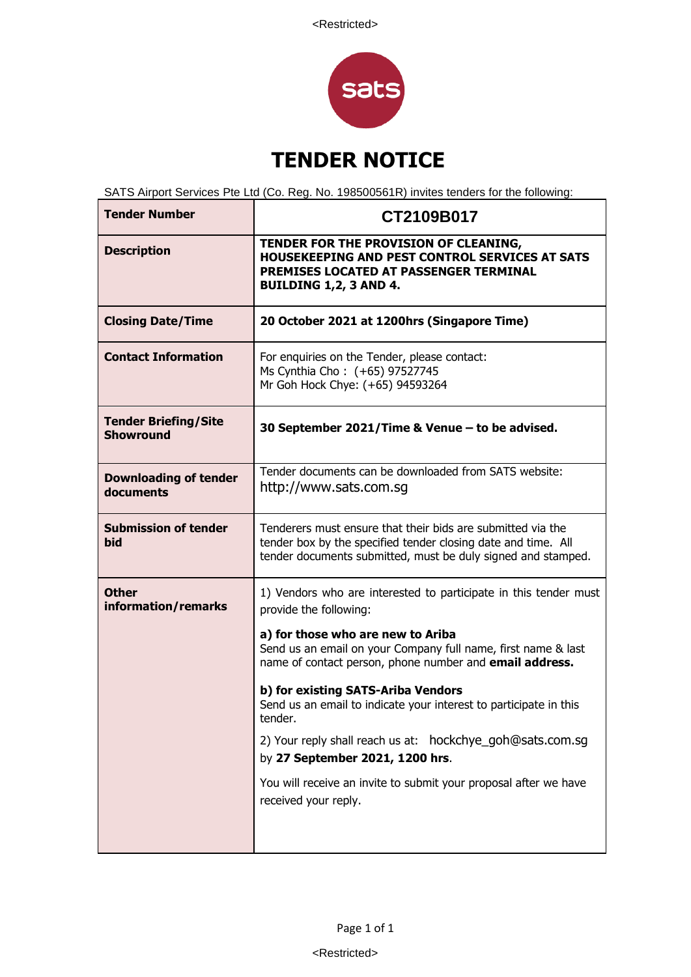

# **TENDER NOTICE**

SATS Airport Services Pte Ltd (Co. Reg. No. 198500561R) invites tenders for the following:

| <b>Tender Number</b>                            | CT2109B017                                                                                                                                                                                   |  |  |  |  |
|-------------------------------------------------|----------------------------------------------------------------------------------------------------------------------------------------------------------------------------------------------|--|--|--|--|
| <b>Description</b>                              | TENDER FOR THE PROVISION OF CLEANING,<br>HOUSEKEEPING AND PEST CONTROL SERVICES AT SATS<br>PREMISES LOCATED AT PASSENGER TERMINAL<br><b>BUILDING 1,2, 3 AND 4.</b>                           |  |  |  |  |
| <b>Closing Date/Time</b>                        | 20 October 2021 at 1200hrs (Singapore Time)                                                                                                                                                  |  |  |  |  |
| <b>Contact Information</b>                      | For enquiries on the Tender, please contact:<br>Ms Cynthia Cho: (+65) 97527745<br>Mr Goh Hock Chye: (+65) 94593264                                                                           |  |  |  |  |
| <b>Tender Briefing/Site</b><br><b>Showround</b> | 30 September 2021/Time & Venue - to be advised.                                                                                                                                              |  |  |  |  |
| <b>Downloading of tender</b><br>documents       | Tender documents can be downloaded from SATS website:<br>http://www.sats.com.sg                                                                                                              |  |  |  |  |
| <b>Submission of tender</b><br>bid              | Tenderers must ensure that their bids are submitted via the<br>tender box by the specified tender closing date and time. All<br>tender documents submitted, must be duly signed and stamped. |  |  |  |  |
| <b>Other</b><br>information/remarks             | 1) Vendors who are interested to participate in this tender must<br>provide the following:                                                                                                   |  |  |  |  |
|                                                 | a) for those who are new to Ariba<br>Send us an email on your Company full name, first name & last<br>name of contact person, phone number and email address.                                |  |  |  |  |
|                                                 | b) for existing SATS-Ariba Vendors<br>Send us an email to indicate your interest to participate in this<br>tender.                                                                           |  |  |  |  |
|                                                 | 2) Your reply shall reach us at: hockchye_goh@sats.com.sg<br>by 27 September 2021, 1200 hrs.                                                                                                 |  |  |  |  |
|                                                 | You will receive an invite to submit your proposal after we have<br>received your reply.                                                                                                     |  |  |  |  |
|                                                 |                                                                                                                                                                                              |  |  |  |  |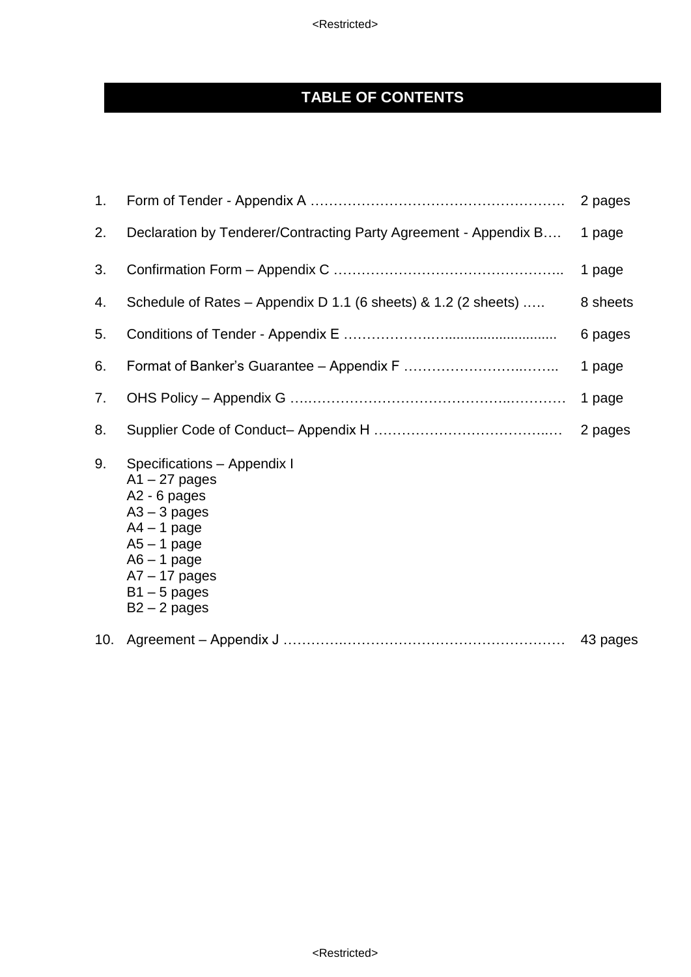<Restricted>

## **TABLE OF CONTENTS**

| 1.  |                                                                                                                                                                                            | 2 pages  |
|-----|--------------------------------------------------------------------------------------------------------------------------------------------------------------------------------------------|----------|
| 2.  | Declaration by Tenderer/Contracting Party Agreement - Appendix B                                                                                                                           | 1 page   |
| 3.  |                                                                                                                                                                                            | 1 page   |
| 4.  | Schedule of Rates - Appendix D 1.1 (6 sheets) & 1.2 (2 sheets)                                                                                                                             | 8 sheets |
| 5.  |                                                                                                                                                                                            | 6 pages  |
| 6.  |                                                                                                                                                                                            | 1 page   |
| 7.  |                                                                                                                                                                                            | 1 page   |
| 8.  |                                                                                                                                                                                            | 2 pages  |
| 9.  | Specifications - Appendix I<br>$A1 - 27$ pages<br>A2 - 6 pages<br>$A3 - 3$ pages<br>$A4 - 1$ page<br>$A5 - 1$ page<br>$A6 - 1$ page<br>$A7 - 17$ pages<br>$B1 - 5$ pages<br>$B2 - 2$ pages |          |
| 10. |                                                                                                                                                                                            | 43 pages |